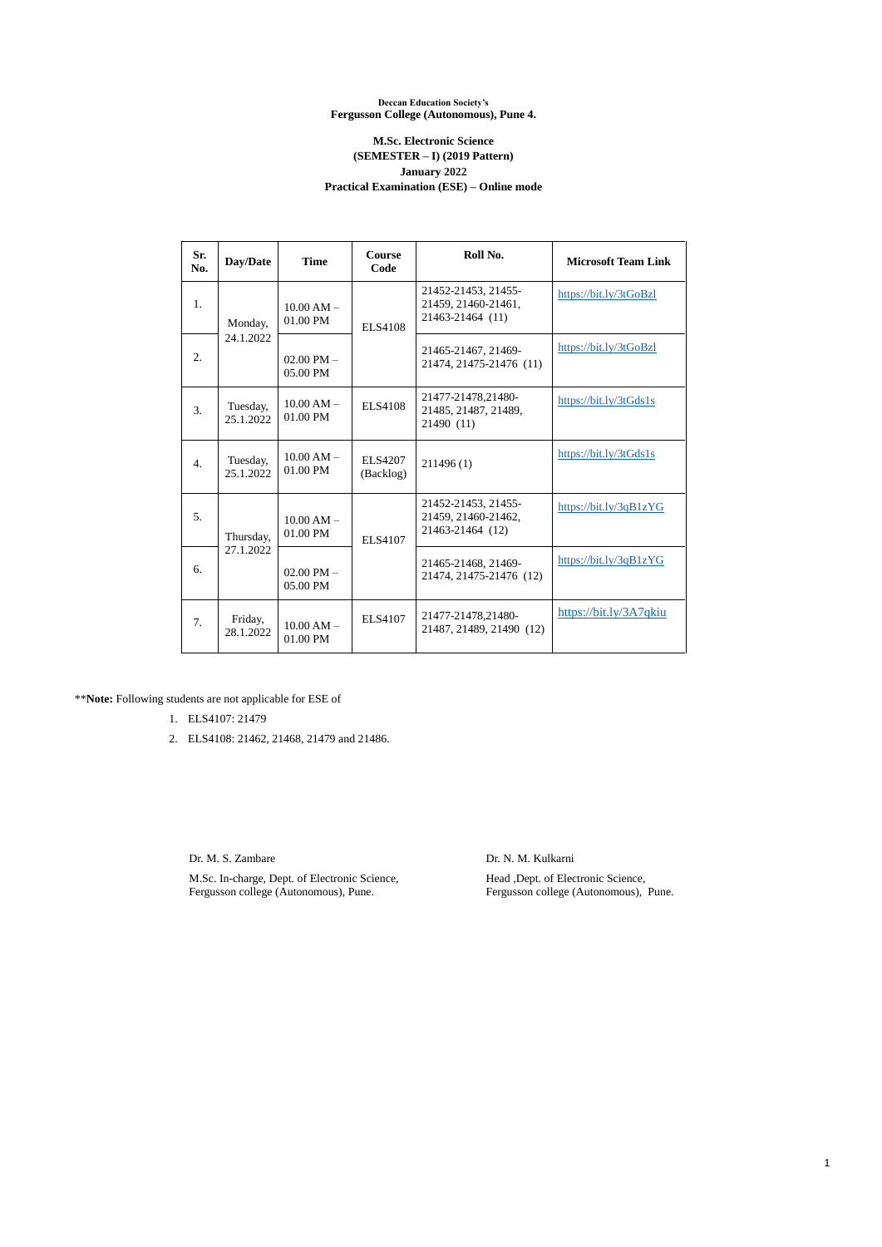1

## **Deccan Education Society's Fergusson College (Autonomous), Pune 4.**

## **M.Sc. Electronic Science (SEMESTER – I) (2019 Pattern) January 2022 Practical Examination (ESE) – Online mode**

| Sr.<br>No.       | Day/Date               | <b>Time</b>                | <b>Course</b><br>Code       | Roll No.                                                       | <b>Microsoft Team Link</b> |
|------------------|------------------------|----------------------------|-----------------------------|----------------------------------------------------------------|----------------------------|
| 1.               | Monday,<br>24.1.2022   | $10.00 AM -$<br>01.00 PM   | <b>ELS4108</b>              | 21452-21453, 21455-<br>21459, 21460-21461,<br>21463-21464 (11) | https://bit.ly/3tGoBzl     |
| 2.               |                        | 02.00 PM $-$<br>05.00 PM   |                             | 21465-21467, 21469-<br>21474, 21475-21476 (11)                 | https://bit.ly/3tGoBzl     |
| 3.               | Tuesday,<br>25.1.2022  | $10.00 AM -$<br>01.00 PM   | <b>ELS4108</b>              | 21477-21478,21480-<br>21485, 21487, 21489,<br>21490 (11)       | https://bit.ly/3tGds1s     |
| $\overline{4}$ . | Tuesday,<br>25.1.2022  | $10.00 AM -$<br>01.00 PM   | <b>ELS4207</b><br>(Backlog) | 211496(1)                                                      | https://bit.ly/3tGds1s     |
| 5.               | Thursday,<br>27.1.2022 | $10.00 AM -$<br>01.00 PM   | <b>ELS4107</b>              | 21452-21453, 21455-<br>21459, 21460-21462,<br>21463-21464 (12) | https://bit.ly/3qB1zYG     |
| 6.               |                        | $02.00$ PM $-$<br>05.00 PM |                             | 21465-21468, 21469-<br>21474, 21475-21476 (12)                 | https://bit.ly/3qB1zYG     |
| 7.               | Friday,<br>28.1.2022   | $10.00 AM -$<br>01.00 PM   | <b>ELS4107</b>              | 21477-21478,21480-<br>21487, 21489, 21490 (12)                 | https://bit.ly/3A7qkiu     |

\*\***Note:** Following students are not applicable for ESE of

- 1. ELS4107: 21479
- 2. ELS4108: 21462, 21468, 21479 and 21486.

Dr. M. S. Zambare

M.Sc. In-charge, Dept. of Electronic Science, Fergusson college (Autonomous), Pune.

Dr. N. M. Kulkarni

Head ,Dept. of Electronic Science, Fergusson college (Autonomous), Pune.